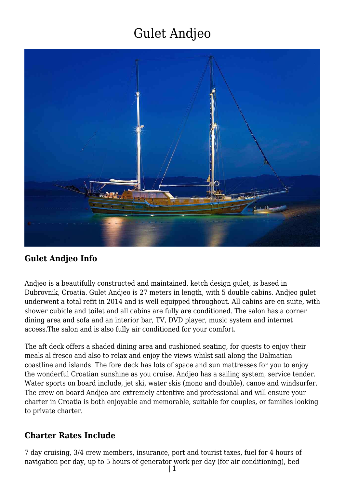

### **Gulet Andjeo Info**

Andjeo is a beautifully constructed and maintained, ketch design gulet, is based in Dubrovnik, Croatia. Gulet Andjeo is 27 meters in length, with 5 double cabins. Andjeo gulet underwent a total refit in 2014 and is well equipped throughout. All cabins are en suite, with shower cubicle and toilet and all cabins are fully are conditioned. The salon has a corner dining area and sofa and an interior bar, TV, DVD player, music system and internet access.The salon and is also fully air conditioned for your comfort.

The aft deck offers a shaded dining area and cushioned seating, for guests to enjoy their meals al fresco and also to relax and enjoy the views whilst sail along the Dalmatian coastline and islands. The fore deck has lots of space and sun mattresses for you to enjoy the wonderful Croatian sunshine as you cruise. Andjeo has a sailing system, service tender. Water sports on board include, jet ski, water skis (mono and double), canoe and windsurfer. The crew on board Andjeo are extremely attentive and professional and will ensure your charter in Croatia is both enjoyable and memorable, suitable for couples, or families looking to private charter.

#### **Charter Rates Include**

7 day cruising, 3/4 crew members, insurance, port and tourist taxes, fuel for 4 hours of navigation per day, up to 5 hours of generator work per day (for air conditioning), bed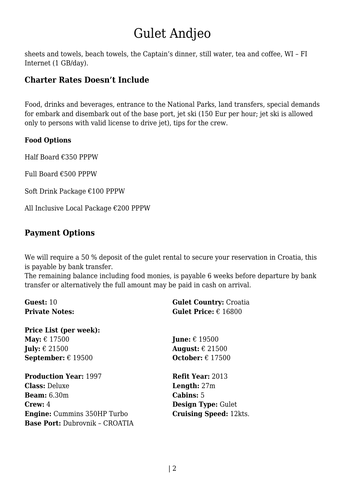sheets and towels, beach towels, the Captain's dinner, still water, tea and coffee, WI – FI Internet (1 GB/day).

#### **Charter Rates Doesn't Include**

Food, drinks and beverages, entrance to the National Parks, land transfers, special demands for embark and disembark out of the base port, jet ski (150 Eur per hour; jet ski is allowed only to persons with valid license to drive jet), tips for the crew.

#### **Food Options**

Half Board €350 PPPW

Full Board €500 PPPW

Soft Drink Package €100 PPPW

All Inclusive Local Package €200 PPPW

### **Payment Options**

We will require a 50 % deposit of the gulet rental to secure your reservation in Croatia, this is payable by bank transfer.

The remaining balance including food monies, is payable 6 weeks before departure by bank transfer or alternatively the full amount may be paid in cash on arrival.

| Guest: $10$                           | <b>Gulet Country: Croatia</b>        |
|---------------------------------------|--------------------------------------|
| <b>Private Notes:</b>                 | <b>Gulet Price:</b> $\epsilon$ 16800 |
| <b>Price List (per week):</b>         |                                      |
| May: $\epsilon$ 17500                 | <b>June:</b> $\epsilon$ 19500        |
| <b>July:</b> $\epsilon$ 21500         | August: $\epsilon$ 21500             |
| September: $\epsilon$ 19500           | October: $\epsilon$ 17500            |
| <b>Production Year: 1997</b>          | <b>Refit Year: 2013</b>              |
| <b>Class: Deluxe</b>                  | <b>Length:</b> $27m$                 |
| <b>Beam:</b> 6.30m                    | <b>Cabins: 5</b>                     |
| Crew: 4                               | <b>Design Type: Gulet</b>            |
| <b>Engine:</b> Cummins 350HP Turbo    | <b>Cruising Speed: 12kts.</b>        |
| <b>Base Port: Dubrovnik - CROATIA</b> |                                      |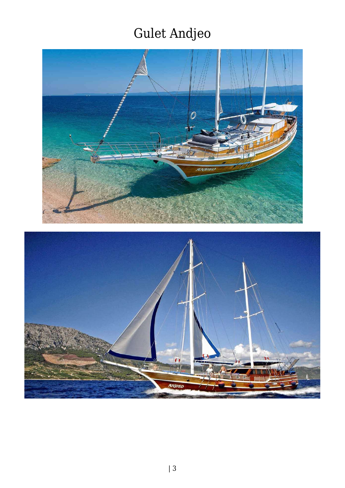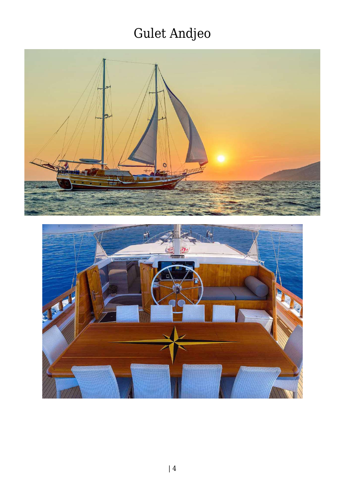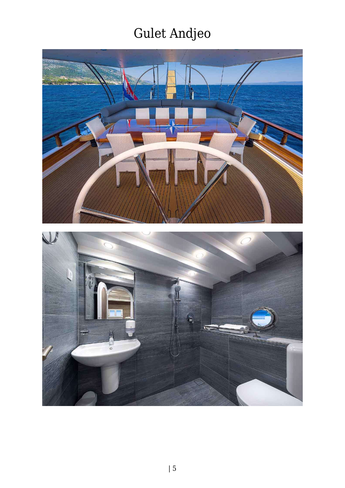